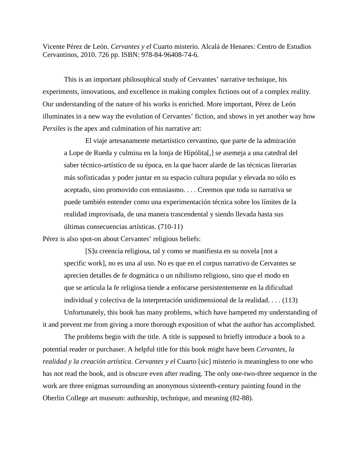Vicente Pérez de León. *Cervantes y el* Cuarto misterio. Alcalá de Henares: Centro de Estudios Cervantinos, 2010. 726 pp. ISBN: 978-84-96408-74-6.

This is an important philosophical study of Cervantes' narrative technique, his experiments, innovations, and excellence in making complex fictions out of a complex reality. Our understanding of the nature of his works is enriched. More important, Pérez de León illuminates in a new way the evolution of Cervantes' fiction, and shows in yet another way how *Persiles* is the apex and culmination of his narrative art:

El viaje artesanamente metartístico cervantino, que parte de la admiración a Lope de Rueda y culmina en la lonja de Hipólita[,] se asemeja a una catedral del saber técnico-artístico de su época, en la que hacer alarde de las técnicas literarias más sofisticadas y poder juntar en su espacio cultura popular y elevada no sólo es aceptado, sino promovido con entusiasmo. . . . Creemos que toda su narrativa se puede también entender como una experimentación técnica sobre los límites de la realidad improvisada, de una manera trascendental y siendo llevada hasta sus últimas consecuencias artísticas. (710-11)

Pérez is also spot-on about Cervantes' religious beliefs:

[S]u creencia religiosa, tal y como se manifiesta en su novela [not a specific work], no es una al uso. No es que en el corpus narrativo de Cervantes se aprecien detalles de fe dogmática o un nihilismo religioso, sino que el modo en que se articula la fe religiosa tiende a enfocarse persistentemente en la dificultad individual y colectiva de la interpretación unidimensional de la realidad. . . . (113)

Unfortunately, this book has many problems, which have hampered my understanding of it and prevent me from giving a more thorough exposition of what the author has accomplished.

The problems begin with the title. A title is supposed to briefly introduce a book to a potential reader or purchaser. A helpful title for this book might have been *Cervantes, la realidad y la creación artística*. *Cervantes y el* Cuarto [sic] misterio is meaningless to one who has not read the book, and is obscure even after reading. The only one-two-three sequence in the work are three enigmas surrounding an anonymous sixteenth-century painting found in the Oberlin College art museum: authorship, technique, and meaning (82-88).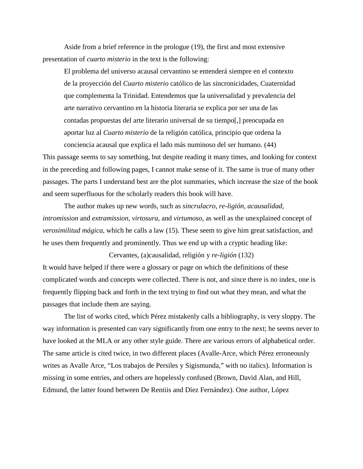Aside from a brief reference in the prologue (19), the first and most extensive presentation of *cuarto misterio* in the text is the following:

El problema del universo acausal cervantino se entenderá siempre en el contexto de la proyección del *Cuarto misterio* católico de las sincronicidades, Cuaternidad que complementa la Trinidad. Entendemos que la universalidad y prevalencia del arte narrativo cervantino en la historia literaria se explica por ser una de las contadas propuestas del arte literario universal de su tiempo[,] preocupada en aportar luz al *Cuarto misterio* de la religión católica, principio que ordena la conciencia acausal que explica el lado más numinoso del ser humano. (44)

This passage seems to say something, but despite reading it many times, and looking for context in the preceding and following pages, I cannot make sense of it. The same is true of many other passages. The parts I understand best are the plot summaries, which increase the size of the book and seem superfluous for the scholarly readers this book will have.

The author makes up new words, such as *sincrulacro*, *re-ligión*, *acausalidad*, *intromission* and *extramission*, *virtosura*, and *virtumoso*, as well as the unexplained concept of *verosimilitud mágica*, which he calls a law (15). These seem to give him great satisfaction, and he uses them frequently and prominently. Thus we end up with a cryptic heading like:

It would have helped if there were a glossary or page on which the definitions of these complicated words and concepts were collected. There is not, and since there is no index, one is frequently flipping back and forth in the text trying to find out what they mean, and what the passages that include them are saying.

Cervantes, (a)causalidad, religión y *re-ligión* (132)

The list of works cited, which Pérez mistakenly calls a bibliography, is very sloppy. The way information is presented can vary significantly from one entry to the next; he seems never to have looked at the MLA or any other style guide. There are various errors of alphabetical order. The same article is cited twice, in two different places (Avalle-Arce, which Pérez erroneously writes as Avalle Arce, "Los trabajos de Persiles y Sigismunda," with no italics). Information is missing in some entries, and others are hopelessly confused (Brown, David Alan, and Hill, Edmund, the latter found between De Rentiis and Díez Fernández). One author, López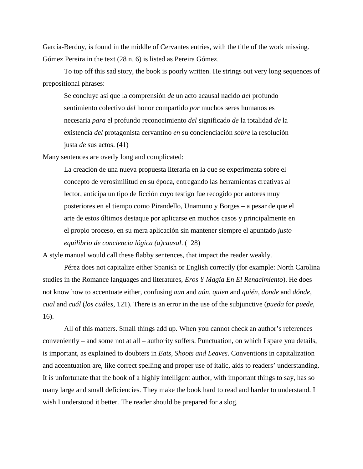García-Berduy, is found in the middle of Cervantes entries, with the title of the work missing. Gómez Pereira in the text (28 n. 6) is listed as Pereira Gómez.

To top off this sad story, the book is poorly written. He strings out very long sequences of prepositional phrases:

Se concluye así que la comprensión *de* un acto acausal nacido *del* profundo sentimiento colectivo *del* honor compartido *por* muchos seres humanos es necesaria *para* el profundo reconocimiento *del* significado *de* la totalidad *de* la existencia *del* protagonista cervantino *en* su concienciación *sobre* la resolución justa *de* sus actos. (41)

Many sentences are overly long and complicated:

La creación de una nueva propuesta literaria en la que se experimenta sobre el concepto de verosimilitud en su época, entregando las herramientas creativas al lector, anticipa un tipo de ficción cuyo testigo fue recogido por autores muy posteriores en el tiempo como Pirandello, Unamuno y Borges – a pesar de que el arte de estos últimos destaque por aplicarse en muchos casos y principalmente en el propio proceso, en su mera aplicación sin mantener siempre el apuntado *justo equilibrio de conciencia lógica (a)causal*. (128)

A style manual would call these flabby sentences, that impact the reader weakly.

Pérez does not capitalize either Spanish or English correctly (for example: North Carolina studies in the Romance languages and literatures, *Eros Y Magia En El Renacimiento*). He does not know how to accentuate either, confusing *aun* and *aún*, *quien* and *quién*, *donde* and *dónde*, *cual* and *cuál* (*los cuáles*, 121). There is an error in the use of the subjunctive (*pueda* for *puede*, 16).

All of this matters. Small things add up. When you cannot check an author's references conveniently – and some not at all – authority suffers. Punctuation, on which I spare you details, is important, as explained to doubters in *Eats, Shoots and Leaves*. Conventions in capitalization and accentuation are, like correct spelling and proper use of italic, aids to readers' understanding. It is unfortunate that the book of a highly intelligent author, with important things to say, has so many large and small deficiencies. They make the book hard to read and harder to understand. I wish I understood it better. The reader should be prepared for a slog.